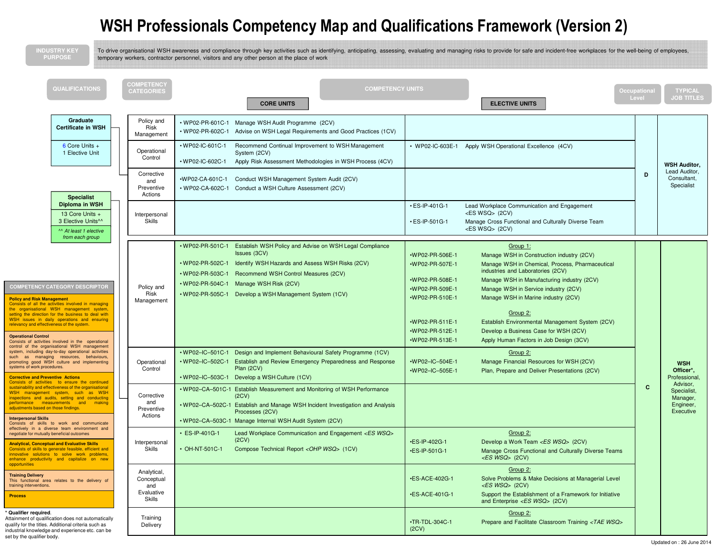## WSH Professionals Competency Map and Qualifications Framework (Version 2)

| <b>NDUSTRY KEY</b><br><b>PURPOSE</b>                                                                                                                                                                                                                                                                                                                                                                                                                                  |                                                                 | To drive organisational WSH awareness and compliance through key activities such as identifying, anticipating, assessing, evaluating and managing risks to provide for safe and incident-free workplaces for the well-being of<br>temporary workers, contractor personnel, visitors and any other person at the place of work             |                                                                                                                                                      |                                                                                                                                                                                                                                                                                                                                                                                                                               |                              |                                                            |
|-----------------------------------------------------------------------------------------------------------------------------------------------------------------------------------------------------------------------------------------------------------------------------------------------------------------------------------------------------------------------------------------------------------------------------------------------------------------------|-----------------------------------------------------------------|-------------------------------------------------------------------------------------------------------------------------------------------------------------------------------------------------------------------------------------------------------------------------------------------------------------------------------------------|------------------------------------------------------------------------------------------------------------------------------------------------------|-------------------------------------------------------------------------------------------------------------------------------------------------------------------------------------------------------------------------------------------------------------------------------------------------------------------------------------------------------------------------------------------------------------------------------|------------------------------|------------------------------------------------------------|
| QUALIFICATIONS                                                                                                                                                                                                                                                                                                                                                                                                                                                        | COMPETENCY<br><b>CATEGORIES</b>                                 | <b>COMPETENCY UNITS</b><br><b>CORE UNITS</b>                                                                                                                                                                                                                                                                                              |                                                                                                                                                      | <b>ELECTIVE UNITS</b>                                                                                                                                                                                                                                                                                                                                                                                                         | <b>Occupational</b><br>Level | <b>TYPICAL</b><br><b>JOB TITLES</b>                        |
| Graduate<br><b>Certificate in WSH</b><br>6 Core Units +                                                                                                                                                                                                                                                                                                                                                                                                               | Policy and<br>Risk<br>Management                                | Manage WSH Audit Programme (2CV)<br>• WP02-PR-601C-1<br>• WP02-PR-602C-1<br>Advise on WSH Legal Requirements and Good Practices (1CV)<br>• WP02-IC-601C-1<br>Recommend Continual Improvement to WSH Management                                                                                                                            |                                                                                                                                                      | • WP02-IC-603E-1 Apply WSH Operational Excellence (4CV)                                                                                                                                                                                                                                                                                                                                                                       |                              |                                                            |
| 1 Elective Unit                                                                                                                                                                                                                                                                                                                                                                                                                                                       | Operational<br>Control                                          | System (2CV)<br>• WP02-IC-602C-1<br>Apply Risk Assessment Methodologies in WSH Process (4CV)                                                                                                                                                                                                                                              |                                                                                                                                                      |                                                                                                                                                                                                                                                                                                                                                                                                                               |                              | <b>WSH Auditor,</b>                                        |
| <b>Specialist</b>                                                                                                                                                                                                                                                                                                                                                                                                                                                     | Corrective<br>and<br>Preventive<br>Actions                      | •WP02-CA-601C-1<br>Conduct WSH Management System Audit (2CV)<br>• WP02-CA-602C-1<br>Conduct a WSH Culture Assessment (2CV)                                                                                                                                                                                                                |                                                                                                                                                      |                                                                                                                                                                                                                                                                                                                                                                                                                               | D                            | Lead Auditor,<br>Consultant,<br>Specialist                 |
| Diploma in WSH<br>13 Core Units +<br>3 Elective Units <sup>^^</sup><br>^^ At least 1 elective<br>from each group                                                                                                                                                                                                                                                                                                                                                      | Interpersonal<br><b>Skills</b>                                  |                                                                                                                                                                                                                                                                                                                                           | $\cdot$ ES-IP-401G-1<br>$\cdot$ ES-IP-501G-1                                                                                                         | Lead Workplace Communication and Engagement<br><es wsq=""> (2CV)<br/>Manage Cross Functional and Culturally Diverse Team<br/><es wsq=""> (2CV)</es></es>                                                                                                                                                                                                                                                                      |                              |                                                            |
| <b>COMPETENCY CATEGORY DESCRIPTOR</b><br><b>Policy and Risk Management</b><br>Consists of all the activities involved in managing<br>the organisational WSH management system,<br>setting the direction for the business to deal with<br>WSH issues in daily operations and ensuring<br>relevancy and effectiveness of the system<br><b>Operational Control</b><br>Consists of activities involved in the operational<br>control of the organisational WSH management | Policy and<br>Risk<br>Management                                | $•$ WP02-PR-501C-1<br>Establish WSH Policy and Advise on WSH Legal Compliance<br>Issues (3CV)<br>Identify WSH Hazards and Assess WSH Risks (2CV)<br>$•$ WP02-PR-502C-1<br>• WP02-PR-503C-1<br>Recommend WSH Control Measures (2CV)<br>• WP02-PR-504C-1<br>Manage WSH Risk (2CV)<br>. WP02-PR-505C-1 Develop a WSH Management System (1CV) | •WP02-PR-506E-1<br>•WP02-PR-507E-1<br>•WP02-PR-508E-1<br>·WP02-PR-509E-1<br>•WP02-PR-510E-1<br>•WP02-PR-511E-1<br>•WP02-PR-512E-1<br>·WP02-PR-513E-1 | Group 1:<br>Manage WSH in Construction industry (2CV)<br>Manage WSH in Chemical, Process, Pharmaceutical<br>industries and Laboratories (2CV)<br>Manage WSH in Manufacturing industry (2CV)<br>Manage WSH in Service industry (2CV)<br>Manage WSH in Marine industry (2CV)<br>Group 2:<br>Establish Environmental Management System (2CV)<br>Develop a Business Case for WSH (2CV)<br>Apply Human Factors in Job Design (3CV) |                              |                                                            |
| system, including day-to-day operational activities<br>such as managing resources, behaviours,<br>promoting good WSH culture and implementing<br>systems of work procedures.<br><b>Corrective and Preventive Actions</b><br>Consists of activities to ensure the continued                                                                                                                                                                                            | Operational<br>Control                                          | $•$ WP02-IC-501C-1<br>Design and Implement Behavioural Safety Programme (1CV)<br>• WP02-IC-502C-1<br>Establish and Review Emergency Preparedness and Response<br>Plan (2CV)<br>• WP02-IC-503C-1 Develop a WSH Culture (1CV)                                                                                                               | $WPO2–IC–504E-1$<br>•WP02-IC-505E-1                                                                                                                  | Group 2:<br>Manage Financial Resources for WSH (2CV)<br>Plan, Prepare and Deliver Presentations (2CV)                                                                                                                                                                                                                                                                                                                         |                              | <b>WSH</b><br>Officer*,<br><b>Professional</b><br>Advisor, |
| sustainability and effectiveness of the organisational<br>WSH management system, such as WSH<br>inspections and audits, setting and conducting<br>performance measurements and making<br>adjustments based on those findings.<br><b>Interpersonal Skills</b><br>Consists of skills to work and communicate                                                                                                                                                            | Corrective<br>and<br>Preventive<br>Actions                      | • WP02-CA-501C-1 Establish Measurement and Monitoring of WSH Performance<br>(2CV)<br>. WP02-CA-502C-1 Establish and Manage WSH Incident Investigation and Analysis<br>Processes (2CV)<br>. WP02-CA-503C-1 Manage Internal WSH Audit System (2CV)                                                                                          |                                                                                                                                                      |                                                                                                                                                                                                                                                                                                                                                                                                                               | C                            | Specialist,<br>Manager,<br>Engineer,<br>Executive          |
| effectively in a diverse team environment and<br>negotiate for mutually beneficial outcomes<br><b>Analytical, Conceptual and Evaluative Skills</b><br>onsists of skills to generate feasible, efficient<br>innovative solutions to solve work problems,<br>enhance productivity and capitalize on new                                                                                                                                                                 | Interpersonal<br>Skills                                         | • ES-IP-401G-1<br>Lead Workplace Communication and Engagement <es wsq=""><br/>(2CV)<br/>• OH-NT-501C-1<br/>Compose Technical Report <ohp wsq=""> (1CV)</ohp></es>                                                                                                                                                                         | •ES-IP-402G-1<br>·ES-IP-501G-1                                                                                                                       | Group 2:<br>Develop a Work Team <es wsq=""> (2CV)<br/>Manage Cross Functional and Culturally Diverse Teams<br/><math>\langle ESWSQ&gt;</math> (2CV)</es>                                                                                                                                                                                                                                                                      |                              |                                                            |
| opportunities<br><b>Training Delivery</b><br>This functional area relates to the delivery of<br>training interventions.<br><b>Process</b>                                                                                                                                                                                                                                                                                                                             | Analytical,<br>Conceptual<br>and<br>Evaluative<br><b>Skills</b> |                                                                                                                                                                                                                                                                                                                                           | •ES-ACE-402G-1<br>•ES-ACE-401G-1                                                                                                                     | Group 2:<br>Solve Problems & Make Decisions at Managerial Level<br>$\langle ESWSQ>$ (2CV)<br>Support the Establishment of a Framework for Initiative<br>and Enterprise <es wsq=""> (2CV)</es>                                                                                                                                                                                                                                 |                              |                                                            |
| * Qualifier required.<br>Attainment of qualification does not automatically<br>qualify for the titles. Additional criteria such as<br>industrial knowledge and experience etc. can be<br>set by the qualifier body.                                                                                                                                                                                                                                                   | Training<br>Delivery                                            |                                                                                                                                                                                                                                                                                                                                           | $\cdot$ TR-TDL-304C-1<br>(2CV)                                                                                                                       | Group 2:<br>Prepare and Facilitate Classroom Training <tae wsq=""></tae>                                                                                                                                                                                                                                                                                                                                                      |                              | Lindated on : 26 June 201                                  |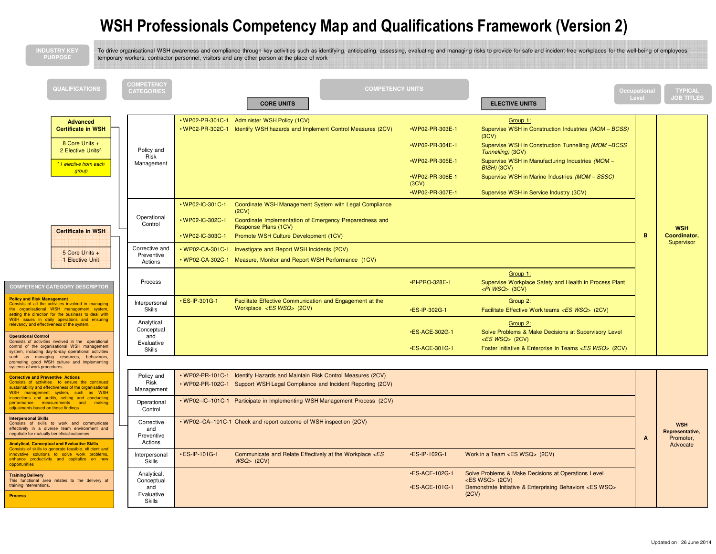## WSH Professionals Competency Map and Qualifications Framework (Version 2)

| <b>NDUSTRY KEY</b><br><b>PURPOSE</b>                                                                                                                                                                                                                                                                                                                                                                                                                                                                                                                                                                                                                                                                                                                                                                                                                                                                                                                                       |                                                                                                                                                                                                         | temporary workers, contractor personnel, visitors and any other person at the place of work                                                                                                                                                                                                                                                                                                                                                                                                                                                                                                                                                     | To drive organisational WSH awareness and compliance through key activities such as identifying, anticipating, assessing, evaluating and managing risks to provide for safe and incident-free workplaces for the well-being of                                                                                                                                                                                                                                                                                                                                                                                                                                                                                                                                                                                                                                           |                      |                                                        |
|----------------------------------------------------------------------------------------------------------------------------------------------------------------------------------------------------------------------------------------------------------------------------------------------------------------------------------------------------------------------------------------------------------------------------------------------------------------------------------------------------------------------------------------------------------------------------------------------------------------------------------------------------------------------------------------------------------------------------------------------------------------------------------------------------------------------------------------------------------------------------------------------------------------------------------------------------------------------------|---------------------------------------------------------------------------------------------------------------------------------------------------------------------------------------------------------|-------------------------------------------------------------------------------------------------------------------------------------------------------------------------------------------------------------------------------------------------------------------------------------------------------------------------------------------------------------------------------------------------------------------------------------------------------------------------------------------------------------------------------------------------------------------------------------------------------------------------------------------------|--------------------------------------------------------------------------------------------------------------------------------------------------------------------------------------------------------------------------------------------------------------------------------------------------------------------------------------------------------------------------------------------------------------------------------------------------------------------------------------------------------------------------------------------------------------------------------------------------------------------------------------------------------------------------------------------------------------------------------------------------------------------------------------------------------------------------------------------------------------------------|----------------------|--------------------------------------------------------|
| <b>QUALIFICATIONS</b>                                                                                                                                                                                                                                                                                                                                                                                                                                                                                                                                                                                                                                                                                                                                                                                                                                                                                                                                                      | <b>COMPETENCY</b><br><b>CATEGORIES</b>                                                                                                                                                                  | <b>COMPETENCY UNITS</b><br><b>CORE UNITS</b>                                                                                                                                                                                                                                                                                                                                                                                                                                                                                                                                                                                                    | <b>ELECTIVE UNITS</b>                                                                                                                                                                                                                                                                                                                                                                                                                                                                                                                                                                                                                                                                                                                                                                                                                                                    | ccupational<br>Level | <b>TYPICAL</b><br>JOB TITLES                           |
| <b>Advanced</b><br><b>Certificate in WSH</b><br>8 Core Units +<br>2 Elective Units^<br>^1 elective from each<br>group<br><b>Certificate in WSH</b><br>5 Core Units +<br>1 Elective Unit<br><b>COMPETENCY CATEGORY DESCRIPTOR</b><br><b>Policy and Risk Management</b><br>Consists of all the activities involved in managing<br>the organisational WSH management system<br>setting the direction for the business to deal with<br>WSH issues in daily operations and ensuring<br>relevancy and effectiveness of the system<br><b>Operational Control</b><br>Consists of activities involved in the operational<br>control of the organisational WSH management<br>system, including day-to-day operational activities                                                                                                                                                                                                                                                     | Policy and<br>Risk<br>Management<br>Operational<br>Control<br>Corrective and<br>Preventive<br>Actions<br>Process<br>Interpersonal<br>Skills<br>Analytical,<br>Conceptual<br>and<br>Evaluative<br>Skills | . WP02-PR-301C-1 Administer WSH Policy (1CV)<br>• WP02-PR-302C-1 Identify WSH hazards and Implement Control Measures (2CV)<br>• WP02-IC-301C-1<br>Coordinate WSH Management System with Legal Compliance<br>(2CV)<br>• WP02-IC-302C-1<br>Coordinate Implementation of Emergency Preparedness and<br>Response Plans (1CV)<br>• WP02-IC-303C-1<br>Promote WSH Culture Development (1CV)<br>• WP02-CA-301C-1<br>Investigate and Report WSH Incidents (2CV)<br>. WP02-CA-302C-1 Measure, Monitor and Report WSH Performance (1CV)<br>· ES-IP-301G-1<br>Facilitate Effective Communication and Engagement at the<br>Workplace <es wsq=""> (2CV)</es> | Group 1:<br>•WP02-PR-303E-1<br>Supervise WSH in Construction Industries (MOM - BCSS)<br>(3CV)<br>•WP02-PR-304E-1<br>Supervise WSH in Construction Tunnelling (MOM-BCSS<br>Tunnelling) (3CV)<br>•WP02-PR-305E-1<br>Supervise WSH in Manufacturing Industries (MOM -<br>$BISH$ ) (3CV)<br>•WP02-PR-306E-1<br>Supervise WSH in Marine Industries (MOM - SSSC)<br>(3CV)<br>•WP02-PR-307E-1<br>Supervise WSH in Service Industry (3CV)<br>Group 1:<br>•PI-PRO-328E-1<br>Supervise Workplace Safety and Health in Process Plant<br>$\langle$ PI WSQ> (3CV)<br>Group 2:<br>•ES-IP-302G-1<br>Facilitate Effective Work teams <es wsq=""> (2CV)<br/>Group 2:<br/>Solve Problems &amp; Make Decisions at Supervisory Level<br/>•ES-ACE-302G-1<br/><math>&lt;</math>ES WSQ&gt; (2CV)<br/>•ES-ACE-301G-1<br/>Foster Initiative &amp; Enterprise in Teams <es wsq=""> (2CV)</es></es> | B                    | <b>WSH</b><br>Coordinator,<br>Supervisor               |
| such as managing resources, behaviours,<br>promoting good WSH culture and implementing<br>systems of work procedures.<br><b>Corrective and Preventive Actions</b><br>Consists of activities to ensure the continued<br>sustainability and effectiveness of the organisational<br>WSH management system, such as WSH<br>inspections and audits, setting and conducting<br>performance measurements and making<br>adjustments based on those findings.<br><b>Interpersonal Skills</b><br>Consists of skills to work and communicate<br>effectively in a diverse team environment and<br>negotiate for mutually beneficial outcomes<br><b>Analytical, Conceptual and Evaluative Skills</b><br>Consists of skills to generate feasible, efficient and<br>innovative solutions to solve work problems,<br>enhance productivity and capitalize on new<br>opportunities<br><b>Training Delivery</b><br>This functional area relates to the delivery of<br>training interventions. | Policy and<br>Risk<br>Management<br>Operational<br>Control<br>Corrective<br>and<br>Preventive<br>Actions<br>Interpersonal<br><b>Skills</b><br>Analytical,<br>Conceptual<br>and                          | . WP02-PR-101C-1 Identify Hazards and Maintain Risk Control Measures (2CV)<br>. WP02-PR-102C-1 Support WSH Legal Compliance and Incident Reporting (2CV)<br>. WP02-IC-101C-1 Participate in Implementing WSH Management Process (2CV)<br>• WP02-CA-101C-1 Check and report outcome of WSH inspection (2CV)<br>$\cdot$ ES-IP-101G-1<br>Communicate and Relate Effectively at the Workplace <es<br>WSQ &gt; (2CV)</es<br>                                                                                                                                                                                                                         | •ES-IP-102G-1<br>Work in a Team <es wsq=""> (2CV)<br/>•ES-ACE-102G-1<br/>Solve Problems &amp; Make Decisions at Operations Level<br/><math>&lt;</math>ES WSQ<math>&gt;</math> (2CV)<br/>•ES-ACE-101G-1<br/>Demonstrate Initiative &amp; Enterprising Behaviors <es wsq=""></es></es>                                                                                                                                                                                                                                                                                                                                                                                                                                                                                                                                                                                     | A                    | <b>WSH</b><br>Representative,<br>Promoter,<br>Advocate |
| <b>Process</b>                                                                                                                                                                                                                                                                                                                                                                                                                                                                                                                                                                                                                                                                                                                                                                                                                                                                                                                                                             | Evaluative<br><b>Skills</b>                                                                                                                                                                             |                                                                                                                                                                                                                                                                                                                                                                                                                                                                                                                                                                                                                                                 | (2CV)                                                                                                                                                                                                                                                                                                                                                                                                                                                                                                                                                                                                                                                                                                                                                                                                                                                                    |                      |                                                        |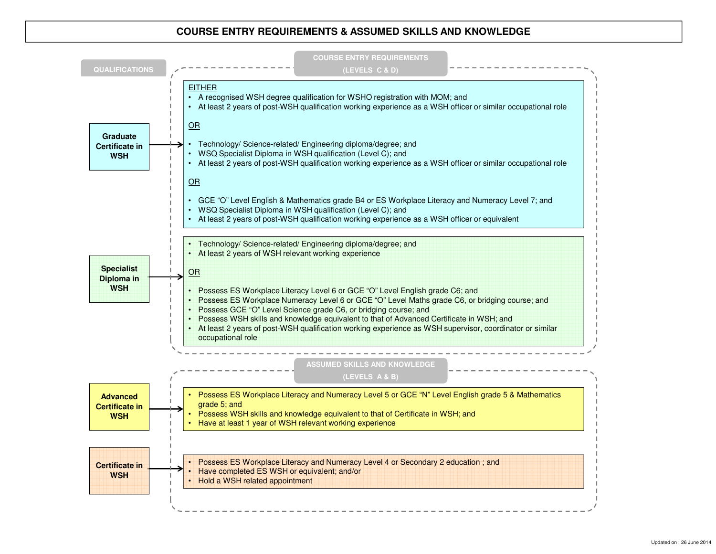### **COURSE ENTRY REQUIREMENTS & ASSUMED SKILLS AND KNOWLEDGE**